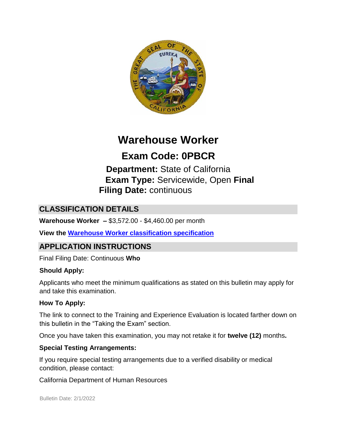

# **Warehouse Worker**

# **Exam Code: 0PBCR**

**Department:** State of California **Exam Type:** Servicewide, Open **Final Filing Date:** continuous

# **CLASSIFICATION DETAILS**

**Warehouse Worker –** \$3,572.00 - \$4,460.00 per month

**View the [Warehouse Worker classification specification](http://www.calhr.ca.gov/state-hr-professionals/pages/6220.aspx)**

## **APPLICATION INSTRUCTIONS**

Final Filing Date: Continuous **Who** 

#### **Should Apply:**

Applicants who meet the minimum qualifications as stated on this bulletin may apply for and take this examination.

#### **How To Apply:**

The link to connect to the Training and Experience Evaluation is located farther down on this bulletin in the "Taking the Exam" section.

Once you have taken this examination, you may not retake it for **twelve (12)** months**.** 

#### **Special Testing Arrangements:**

If you require special testing arrangements due to a verified disability or medical condition, please contact:

California Department of Human Resources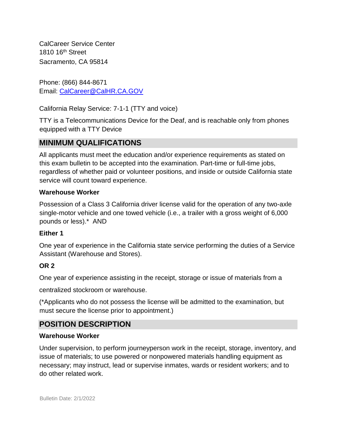CalCareer Service Center 1810 16<sup>th</sup> Street Sacramento, CA 95814

Phone: (866) 844-8671 Email: CalCareer@CalHR.CA.GOV

California Relay Service: 7-1-1 (TTY and voice)

TTY is a Telecommunications Device for the Deaf, and is reachable only from phones equipped with a TTY Device

# **MINIMUM QUALIFICATIONS**

All applicants must meet the education and/or experience requirements as stated on this exam bulletin to be accepted into the examination. Part-time or full-time jobs, regardless of whether paid or volunteer positions, and inside or outside California state service will count toward experience.

#### **Warehouse Worker**

Possession of a Class 3 California driver license valid for the operation of any two-axle single-motor vehicle and one towed vehicle (i.e., a trailer with a gross weight of 6,000 pounds or less).\* AND

#### **Either 1**

One year of experience in the California state service performing the duties of a Service Assistant (Warehouse and Stores).

#### **OR 2**

One year of experience assisting in the receipt, storage or issue of materials from a

centralized stockroom or warehouse.

(\*Applicants who do not possess the license will be admitted to the examination, but must secure the license prior to appointment.)

# **POSITION DESCRIPTION**

#### **Warehouse Worker**

Under supervision, to perform journeyperson work in the receipt, storage, inventory, and issue of materials; to use powered or nonpowered materials handling equipment as necessary; may instruct, lead or supervise inmates, wards or resident workers; and to do other related work.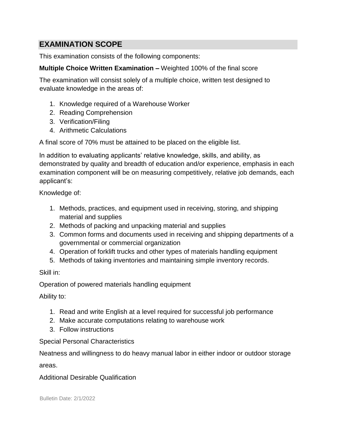## **EXAMINATION SCOPE**

This examination consists of the following components:

#### **Multiple Choice Written Examination –** Weighted 100% of the final score

The examination will consist solely of a multiple choice, written test designed to evaluate knowledge in the areas of:

- 1. Knowledge required of a Warehouse Worker
- 2. Reading Comprehension
- 3. Verification/Filing
- 4. Arithmetic Calculations

A final score of 70% must be attained to be placed on the eligible list.

In addition to evaluating applicants' relative knowledge, skills, and ability, as demonstrated by quality and breadth of education and/or experience, emphasis in each examination component will be on measuring competitively, relative job demands, each applicant's:

Knowledge of:

- 1. Methods, practices, and equipment used in receiving, storing, and shipping material and supplies
- 2. Methods of packing and unpacking material and supplies
- 3. Common forms and documents used in receiving and shipping departments of a governmental or commercial organization
- 4. Operation of forklift trucks and other types of materials handling equipment
- 5. Methods of taking inventories and maintaining simple inventory records.

Skill in:

Operation of powered materials handling equipment

Ability to:

- 1. Read and write English at a level required for successful job performance
- 2. Make accurate computations relating to warehouse work
- 3. Follow instructions

Special Personal Characteristics

Neatness and willingness to do heavy manual labor in either indoor or outdoor storage

areas.

#### Additional Desirable Qualification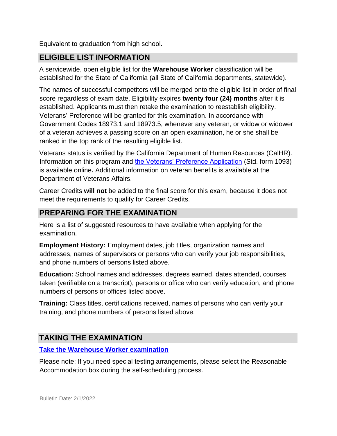Equivalent to graduation from high school.

#### **ELIGIBLE LIST INFORMATION**

A servicewide, open eligible list for the **Warehouse Worker** classification will be established for the State of California (all State of California departments, statewide).

The names of successful competitors will be merged onto the eligible list in order of final score regardless of exam date. Eligibility expires **twenty four (24) months** after it is established. Applicants must then retake the examination to reestablish eligibility. Veterans' Preference will be granted for this examination. In accordance with Government Codes 18973.1 and 18973.5, whenever any veteran, or widow or widower of a veteran achieves a passing score on an open examination, he or she shall be ranked in the top rank of the resulting eligible list.

Veterans status is verified by the California Department of Human Resources (CalHR). Information on this program and [the Veterans' Preference Application](https://www.jobs.ca.gov/CalHRPublic/Landing/Jobs/VeteransInformation.aspx) [\(](https://www.jobs.ca.gov/CalHRPublic/Landing/Jobs/VeteransInformation.aspx)Std. form 1093) is available online**.** Additional information on veteran benefits is available at the Department of Veterans Affairs.

Career Credits **will not** be added to the final score for this exam, because it does not meet the requirements to qualify for Career Credits.

## **PREPARING FOR THE EXAMINATION**

Here is a list of suggested resources to have available when applying for the examination.

**Employment History:** Employment dates, job titles, organization names and addresses, names of supervisors or persons who can verify your job responsibilities, and phone numbers of persons listed above.

**Education:** School names and addresses, degrees earned, dates attended, courses taken (verifiable on a transcript), persons or office who can verify education, and phone numbers of persons or offices listed above.

**Training:** Class titles, certifications received, names of persons who can verify your training, and phone numbers of persons listed above.

## **TAKING THE EXAMINATION**

**[Take the](https://www.jobs.ca.gov/CalHRPublic/Login.aspx?ExamId=0PBCR) [Warehouse Worker](https://www.jobs.ca.gov/CalHRPublic/Login.aspx?ExamId=0PBCR) [examination](https://www.jobs.ca.gov/CalHRPublic/Login.aspx?ExamId=0PBCR)**

Please note: If you need special testing arrangements, please select the Reasonable Accommodation box during the self-scheduling process.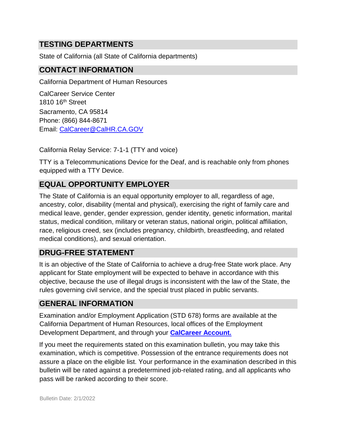## **TESTING DEPARTMENTS**

State of California (all State of California departments)

#### **CONTACT INFORMATION**

California Department of Human Resources

CalCareer Service Center 1810 16<sup>th</sup> Street Sacramento, CA 95814 Phone: (866) 844-8671 Email: CalCareer@CalHR.CA.GOV

California Relay Service: 7-1-1 (TTY and voice)

TTY is a Telecommunications Device for the Deaf, and is reachable only from phones equipped with a TTY Device.

# **EQUAL OPPORTUNITY EMPLOYER**

The State of California is an equal opportunity employer to all, regardless of age, ancestry, color, disability (mental and physical), exercising the right of family care and medical leave, gender, gender expression, gender identity, genetic information, marital status, medical condition, military or veteran status, national origin, political affiliation, race, religious creed, sex (includes pregnancy, childbirth, breastfeeding, and related medical conditions), and sexual orientation.

## **DRUG-FREE STATEMENT**

It is an objective of the State of California to achieve a drug-free State work place. Any applicant for State employment will be expected to behave in accordance with this objective, because the use of illegal drugs is inconsistent with the law of the State, the rules governing civil service, and the special trust placed in public servants.

#### **GENERAL INFORMATION**

Examination and/or Employment Application (STD 678) forms are available at the California Department of Human Resources, local offices of the Employment Development Department, and through your **[CalCareer Account.](http://www.jobs.ca.gov/)**

If you meet the requirements stated on this examination bulletin, you may take this examination, which is competitive. Possession of the entrance requirements does not assure a place on the eligible list. Your performance in the examination described in this bulletin will be rated against a predetermined job-related rating, and all applicants who pass will be ranked according to their score.